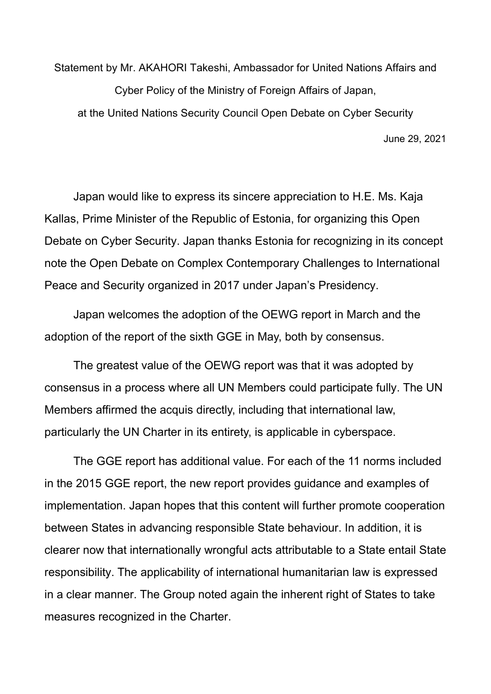Statement by Mr. AKAHORI Takeshi, Ambassador for United Nations Affairs and Cyber Policy of the Ministry of Foreign Affairs of Japan, at the United Nations Security Council Open Debate on Cyber Security June 29, 2021

Japan would like to express its sincere appreciation to H.E. Ms. Kaja Kallas, Prime Minister of the Republic of Estonia, for organizing this Open Debate on Cyber Security. Japan thanks Estonia for recognizing in its concept note the Open Debate on Complex Contemporary Challenges to International Peace and Security organized in 2017 under Japan's Presidency.

Japan welcomes the adoption of the OEWG report in March and the adoption of the report of the sixth GGE in May, both by consensus.

The greatest value of the OEWG report was that it was adopted by consensus in a process where all UN Members could participate fully. The UN Members affirmed the acquis directly, including that international law, particularly the UN Charter in its entirety, is applicable in cyberspace.

The GGE report has additional value. For each of the 11 norms included in the 2015 GGE report, the new report provides guidance and examples of implementation. Japan hopes that this content will further promote cooperation between States in advancing responsible State behaviour. In addition, it is clearer now that internationally wrongful acts attributable to a State entail State responsibility. The applicability of international humanitarian law is expressed in a clear manner. The Group noted again the inherent right of States to take measures recognized in the Charter.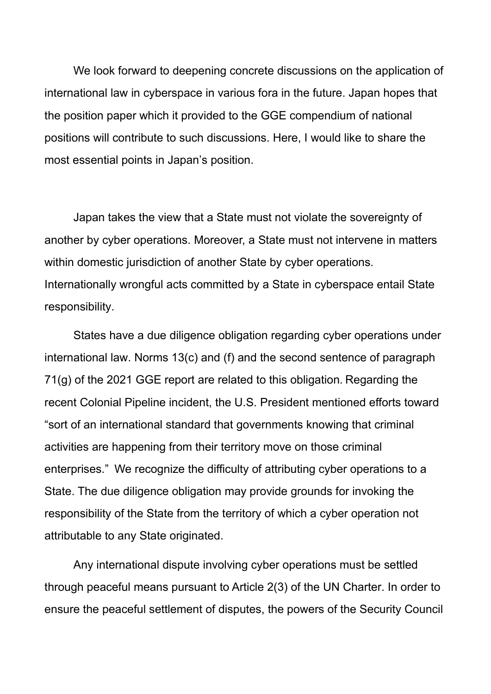We look forward to deepening concrete discussions on the application of international law in cyberspace in various fora in the future. Japan hopes that the position paper which it provided to the GGE compendium of national positions will contribute to such discussions. Here, I would like to share the most essential points in Japan's position.

Japan takes the view that a State must not violate the sovereignty of another by cyber operations. Moreover, a State must not intervene in matters within domestic jurisdiction of another State by cyber operations. Internationally wrongful acts committed by a State in cyberspace entail State responsibility.

States have a due diligence obligation regarding cyber operations under international law. Norms 13(c) and (f) and the second sentence of paragraph 71(g) of the 2021 GGE report are related to this obligation. Regarding the recent Colonial Pipeline incident, the U.S. President mentioned efforts toward "sort of an international standard that governments knowing that criminal activities are happening from their territory move on those criminal enterprises." We recognize the difficulty of attributing cyber operations to a State. The due diligence obligation may provide grounds for invoking the responsibility of the State from the territory of which a cyber operation not attributable to any State originated.

Any international dispute involving cyber operations must be settled through peaceful means pursuant to Article 2(3) of the UN Charter. In order to ensure the peaceful settlement of disputes, the powers of the Security Council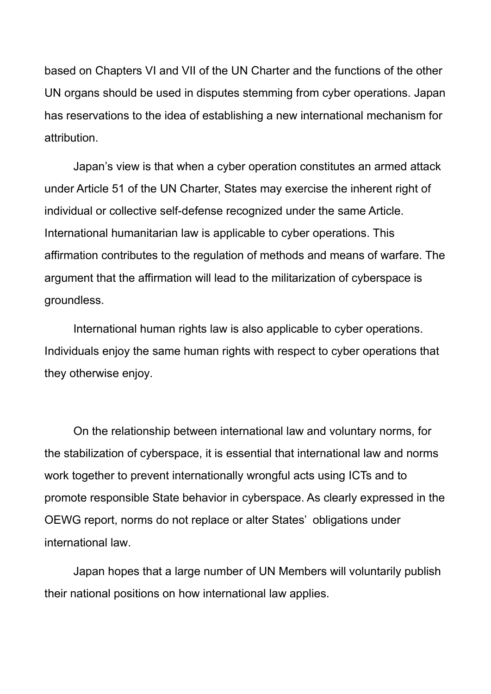based on Chapters VI and VII of the UN Charter and the functions of the other UN organs should be used in disputes stemming from cyber operations. Japan has reservations to the idea of establishing a new international mechanism for attribution.

Japan's view is that when a cyber operation constitutes an armed attack under Article 51 of the UN Charter, States may exercise the inherent right of individual or collective self-defense recognized under the same Article. International humanitarian law is applicable to cyber operations. This affirmation contributes to the regulation of methods and means of warfare. The argument that the affirmation will lead to the militarization of cyberspace is groundless.

International human rights law is also applicable to cyber operations. Individuals enjoy the same human rights with respect to cyber operations that they otherwise enjoy.

On the relationship between international law and voluntary norms, for the stabilization of cyberspace, it is essential that international law and norms work together to prevent internationally wrongful acts using ICTs and to promote responsible State behavior in cyberspace. As clearly expressed in the OEWG report, norms do not replace or alter States' obligations under international law.

Japan hopes that a large number of UN Members will voluntarily publish their national positions on how international law applies.